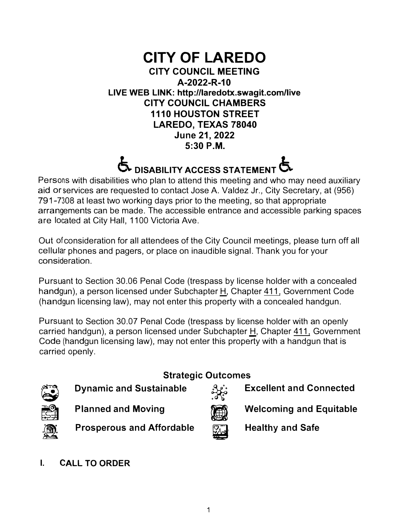### **CITY OF LAREDO CITY COUNCIL MEETING A-2022-R-10 LIVE WEB LINK: http://laredotx.swagit.com/live CITY COUNCIL CHAMBERS 1110 HOUSTON STREET LAREDO, TEXAS 78040 June 21, 2022 5:30 P.M.**

### $\bullet$  DISABILITY ACCESS STATEMENT  $\bullet$

Persons with disabilities who plan to attend this meeting and who may need auxiliary aid or services are requested to contact Jose A. Valdez Jr., City Secretary, at (956) 791-7308 at least two working days prior to the meeting, so that appropriate arrangements can be made. The accessible entrance and accessible parking spaces are located at City Hall, 1100 Victoria Ave.

Out of consideration for all attendees of the City Council meetings, please turn off all cellular phones and pagers, or place on inaudible signal. Thank you for your consideration.

Pursuant to Section 30.06 Penal Code (trespass by license holder with a concealed handgun), a person licensed under Subchapter H, Chapter 411, Government Code (handgun licensing law), may not enter this property with a concealed handgun.

Pursuant to Section 30.07 Penal Code (trespass by license holder with an openly carried handgun), a person licensed under Subchapter H, Chapter 411, Government Code (handgun licensing law), may not enter this property with a handgun that is carried openly.



### **Strategic Outcomes**



**Dynamic and Sustainable and Sustainable by a strategic Ducomes**<br>**Excellent and Connected and Mexing and Mexing and Mexing and Equitable** 



**I. CALL TO ORDER**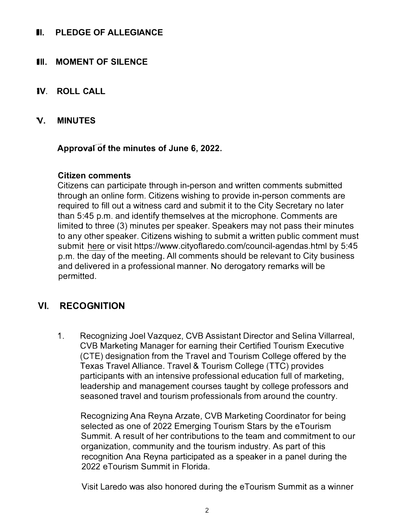### **II. PLEDGE OF ALLEGIANCE**

### **III. MOMENT OF SILENCE**

- **IV. ROLL CALL**
- **V. MINUTES**

#### **Approvalof the minutes of June 6, 2022.**

#### **Citizen comments**

**Citizens can participate through in-person and written comments submitted through an online form. Citizens wishing to provide in-person comments are required to fill out a witness card and submit it to the City Secretary no later than 5:45 p.m. and identify themselves at the microphone. Comments are limited to three (3) minutes per speaker. Speakers may not pass their minutes to any other speaker. Citizens wishing to submit a written public comment must submit here or visit https://www.cityoflaredo.com/council-agendas.html by 5:45 p.m. the day of the meeting. All comments should be relevant to City business and delivered in a professional manner. No derogatory remarks will be permitted.** 

### **VI. RECOGNITION**

**1. Recognizing Joel Vazquez, CVB Assistant Director and Selina Villarreal, CVB Marketing Manager for earning their Certified Tourism Executive (GTE) designation from the Travel and Tourism College offered by the Texas Travel Alliance. Travel & Tourism College (TTC) provides participants with an intensive professional education full of marketing, leadership and management courses taught by college professors and seasoned travel and tourism professionals from around the country.** 

**Recognizing Ana Reyna Arzate, CVB Marketing Coordinator for being selected as one of 2022 Emerging Tourism Stars by the eTourism Summit. A result of her contributions to the team and commitment to our organization, community and the tourism industry. As part of this recognition Ana Reyna participated as a speaker in a panel during the 2022 eTourism Summit in Florida.** 

**Visit Laredo was also honored during the eTourism Summit as a winner**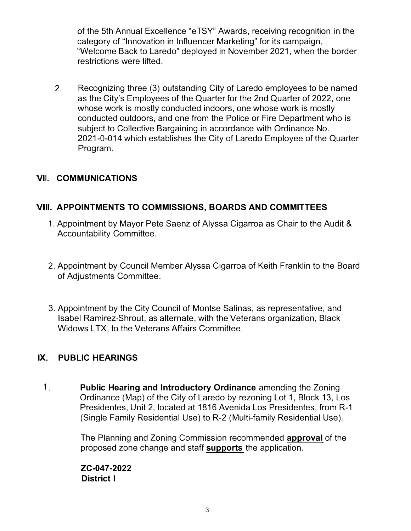of the 5th Annual Excellence "e TSY" Awards, receiving recognition in the category of "Innovation in Influencer Marketing" for its campaign, "Welcome Back to Laredo" deployed in November 2021, when the border restrictions were lifted.

2. Recognizing three (3) outstanding City of Laredo employees to be named as the City's Employees of the Quarter for the 2nd Quarter of 2022, one whose work is mostly conducted indoors, one whose work is mostly conducted outdoors, and one from the Police or Fire Department who is subject to Collective Bargaining in accordance with Ordinance No. 2021-0-014 which establishes the City of Laredo Employee of the Quarter Program.

### **VII. COMMUNICATIONS**

### **VIII. APPOINTMENTS TO COMMISSIONS, BOARDS AND COMMITTEES**

- 1. Appointment by Mayor Pete Saenz of Alyssa Cigarroa as Chair to the Audit & Accountability Committee.
- 2. Appointment by Council Member Alyssa Cigarroa of Keith Franklin to the Board of Adjustments Committee.
- 3. Appointment by the City Council of Montse Salinas, as representative, and Isabel Ramirez-Shrout, as alternate, with the Veterans organization, Black Widows LTX, to the Veterans Affairs Committee.

### **IX. PUBLIC HEARINGS**

1. **Public Hearing and Introductory Ordinance** amending the Zoning Ordinance (Map) of the City of Laredo by rezoning Lot 1, Block 13, Los Presidentes, Unit 2, located at 1816 Avenida Los Presidentes, from R-1 (Single Family Residential Use) to R-2 (Multi-family Residential Use).

> The Planning and Zoning Commission recommended **approval** of the proposed zone change and staff **supports** the application.

**ZC-047-2022 District I**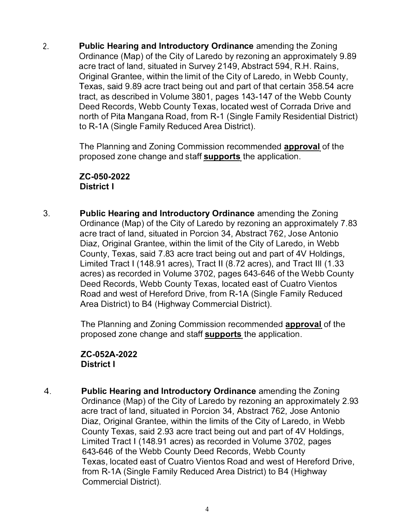2. **Public Hearing and Introductory Ordinance** amending the Zoning Ordinance (Map) of the City of Laredo by rezoning an approximately 9.89 acre tract of land, situated in Survey 2149, Abstract 594, R.H. Rains, Original Grantee, within the limit of the City of Laredo, in Webb County, Texas, said 9.89 acre tract being out and part of that certain 358.54 acre tract, as described in Volume 3801, pages 143-147 of the Webb County Deed Records, Webb County Texas, located west of Corrada Drive and north of Pita Mangana Road, from R-1 (Single Family Residential District) to R-1A (Single Family Reduced Area District).

> The Planning and Zoning Commission recommended **approval** of the proposed zone change and staff **supports** the application.

**ZC-050-2022 District I** 

3. **Public Hearing and Introductory Ordinance** amending the Zoning Ordinance (Map) of the City of Laredo by rezoning an approximately 7.83 acre tract of land, situated in Porcion 34, Abstract 762, Jose Antonio Diaz, Original Grantee, within the limit of the City of Laredo, in Webb County, Texas, said 7.83 acre tract being out and part of 4V Holdings, Limited Tract I (148.91 acres), Tract II (8.72 acres), and Tract Ill (1.33 acres) as recorded in Volume 3702, pages 643-646 of the Webb County Deed Records, Webb County Texas, located east of Cuatro Vientos Road and west of Hereford Drive, from R-1A (Single Family Reduced Area District) to B4 (Highway Commercial District).

> The Planning and Zoning Commission recommended **approval** of the proposed zone change and staff **supports** the application.

**ZC-052A-2022 District I** 

4. **Public Hearing and Introductory Ordinance** amending the Zoning Ordinance (Map) of the City of Laredo by rezoning an approximately 2.93 acre tract of land, situated in Porcion 34, Abstract 762, Jose Antonio Diaz, Original Grantee, within the limits of the City of Laredo, in Webb County Texas, said 2.93 acre tract being out and part of 4V Holdings, Limited Tract I (148.91 acres) as recorded in Volume 3702, pages 643-646 of the Webb County Deed Records, Webb County Texas, located east of Cuatro Vientos Road and west of Hereford Drive, from R-1A (Single Family Reduced Area District) to B4 (Highway Commercial District).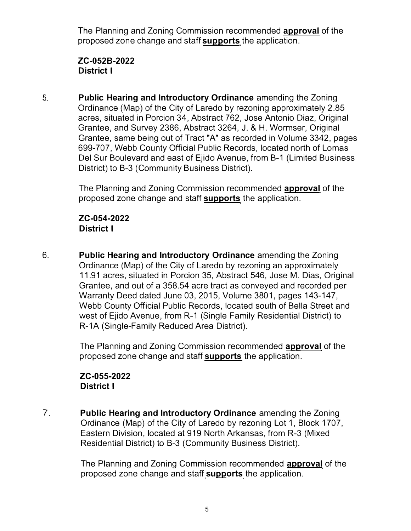The Planning and Zoning Commission recommended **approval** of the proposed zone change and staff **supports** the application.

### **ZC-0528-2022 District I**

5. **Public Hearing and Introductory Ordinance** amending the Zoning Ordinance (Map) of the City of Laredo by rezoning approximately 2.85 acres, situated in Porcion 34, Abstract 762, Jose Antonio Diaz, Original Grantee, and Survey 2386, Abstract 3264, J. & H. Wormser, Original Grantee, same being out of Tract "A" as recorded in Volume 3342, pages 699-707, Webb County Official Public Records, located north of Lomas Del Sur Boulevard and east of Ejido Avenue, from B-1 (Limited Business District) to B-3 (Community Business District).

> The Planning and Zoning Commission recommended **approval** of the proposed zone change and staff **supports** the application.

### **ZC-054-2022 District I**

6. **Public Hearing and Introductory Ordinance** amending the Zoning Ordinance (Map) of the City of Laredo by rezoning an approximately 11.91 acres, situated in Porcion 35, Abstract 546, Jose M. Dias, Original Grantee, and out of a 358.54 acre tract as conveyed and recorded per Warranty Deed dated June 03, 2015, Volume 3801, pages 143-147, Webb County Official Public Records, located south of Bella Street and west of Ejido Avenue, from R-1 (Single Family Residential District) to R-1A (Single-Family Reduced Area District).

> The Planning and Zoning Commission recommended **approval** of the proposed zone change and staff **supports** the application.

### **ZC-055-2022 District I**

7. **Public Hearing and Introductory Ordinance** amending the Zoning Ordinance (Map) of the City of Laredo by rezoning Lot 1, Block 1707, Eastern Division, located at 919 North Arkansas, from R-3 (Mixed Residential District) to B-3 (Community Business District).

> The Planning and Zoning Commission recommended **approval** of the proposed zone change and staff **supports** the application.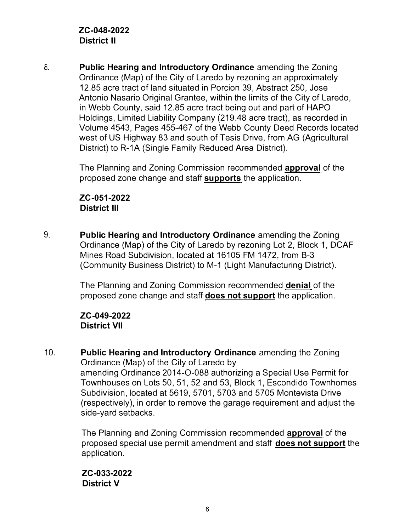8. **Public Hearing and Introductory Ordinance** amending the Zoning Ordinance (Map) of the City of Laredo by rezoning an approximately 12.85 acre tract of land situated in Porcion 39, Abstract 250, Jose Antonio Nasario Original Grantee, within the limits of the City of Laredo, in Webb County, said 12.85 acre tract being out and part of HAPO Holdings, Limited Liability Company (219.48 acre tract), as recorded in Volume 4543, Pages 455-467 of the Webb County Deed Records located west of US Highway 83 and south of Tesis Drive, from AG (Agricultural District) to R-1A (Single Family Reduced Area District).

> The Planning and Zoning Commission recommended **approval** of the proposed zone change and staff **supports** the application.

### **ZC-051-2022 District Ill**

9. **Public Hearing and Introductory Ordinance** amending the Zoning Ordinance (Map) of the City of Laredo by rezoning Lot 2, Block 1, DCAF Mines Road Subdivision, located at 16105 FM 1472, from B-3 (Community Business District) to M-1 (Light Manufacturing District).

> The Planning and Zoning Commission recommended **denial** of the proposed zone change and staff **does not support** the application.

### **ZC-049-2022 District VII**

10. **Public Hearing and Introductory Ordinance** amending the Zoning Ordinance (Map) of the City of Laredo by amending Ordinance 2014-0-088 authorizing a Special Use Permit for Townhouses on Lots 50, 51, 52 and 53, Block 1, Escondido Townhomes Subdivision, located at 5619, 5701, 5703 and 5705 Montevista Drive (respectively), in order to remove the garage requirement and adjust the side-yard setbacks.

> The Planning and Zoning Commission recommended **approval** of the proposed special use permit amendment and staff **does not support** the application.

### **ZC-033-2022 District V**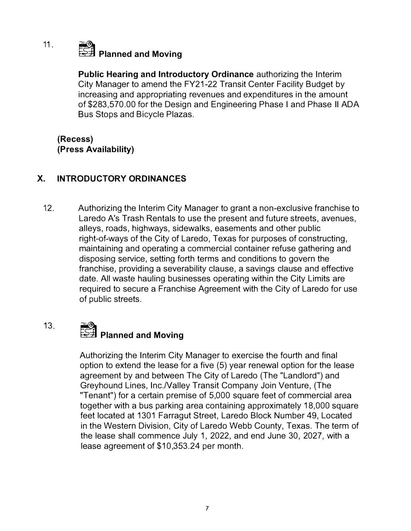# **� Planned and Moving**

**Public Hearing and Introductory Ordinance** authorizing the Interim City Manager to amend the FY21-22 Transit Center Facility Budget by increasing and appropriating revenues and expenditures in the amount of \$283,570.00 for the Design and Engineering Phase I and Phase II ADA Bus Stops and Bicycle Plazas.

### **(Recess) (Press Availability)**

11 .

#### **X. INTRODUCTORY ORDINANCES**

12. Authorizing the Interim City Manager to grant a non-exclusive franchise to Laredo A's Trash Rentals to use the present and future streets, avenues, alleys, roads, highways, sidewalks, easements and other public right-of-ways of the City of Laredo, Texas for purposes of constructing, maintaining and operating a commercial container refuse gathering and disposing service, setting forth terms and conditions to govern the franchise, providing a severability clause, a savings clause and effective date. All waste hauling businesses operating within the City Limits are required to secure a Franchise Agreement with the City of Laredo for use of public streets.

### 13. **� Planned and Moving**

Authorizing the Interim City Manager to exercise the fourth and final option to extend the lease for a five (5) year renewal option for the lease agreement by and between The City of Laredo (The "Landlord") and Greyhound Lines, Inc.Nalley Transit Company Join Venture, (The "Tenant") for a certain premise of 5,000 square feet of commercial area together with a bus parking area containing approximately 18,000 square feet located at 1301 Farragut Street, Laredo Block Number 49, Located in the Western Division, City of Laredo Webb County, Texas. The term of the lease shall commence July 1, 2022, and end June 30, 2027, with a lease agreement of \$10,353.24 per month.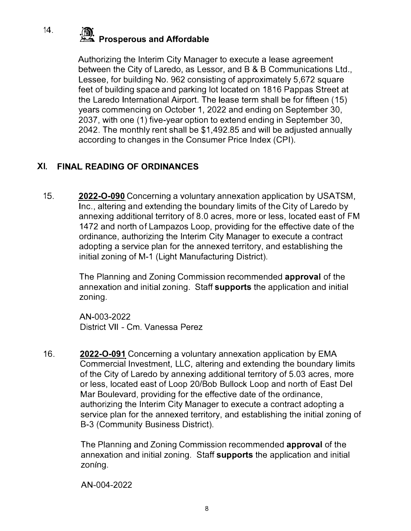### 14. **<b>a** *a* **Prosperous and Affordable** *a Affordable*

**Authorizing the Interim City Manager to execute a lease agreement between the City of Laredo, as Lessor, and B & B Communications Ltd., Lessee, for building No. 962 consisting of approximately 5,672 square feet of building space and parking lot located on 1816 Pappas Street at the Laredo International Airport. The lease term shall be for fifteen ( 15) years commencing on October 1, 2022 and ending on September 30, 2037, with one (1) five-year option to extend ending in September 30, 2042. The monthly rent shall be \$1,492.85 and will be adjusted annually according to changes in the Consumer Price Index (CPI).** 

### **XI. FINAL READING OF ORDINANCES**

**15. 2022-0-090 Concerning a voluntary annexation application by USATSM, Inc., altering and extending the boundary limits of the City of Laredo by annexing additional territory of 8.0 acres, more or less, located east of FM 1472 and north of Lampazos Loop, providing for the effective date of the ordinance, authorizing the Interim City Manager to execute a contract adopting a service plan for the annexed territory, and establishing the initial zoning of M-1 (Light Manufacturing District).** 

> **The Planning and Zoning Commission recommended approval of the annexation and initial zoning. Staff supports the application and initial zoning.**

**AN-003-2022 District VII - Cm. Vanessa Perez** 

16. **2022-0-091 Concerning a voluntary annexation application by EMA Commercial Investment, LLC, altering and extending the boundary limits of the City of Laredo by annexing additional territory of 5.03 acres, more or less, located east of Loop 20/Bob Bullock Loop and north of East Del Mar Boulevard, providing for the effective date of the ordinance, authorizing the Interim City Manager to execute a contract adopting a service plan for the annexed territory, and establishing the initial zoning of B-3 (Community Business District).** 

> **The Planning and Zoning Commission recommended approval of the annexation and initial zoning. Staff supports the application and initial zoning.**

**AN-004-2022**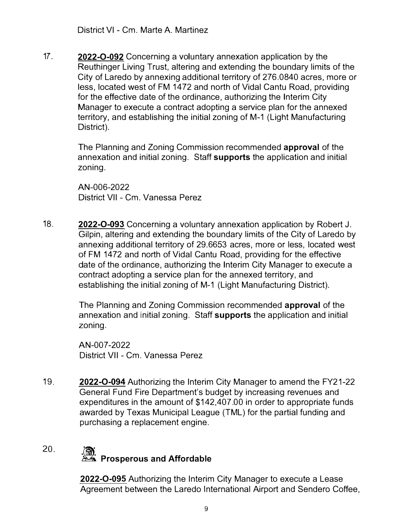**17. 2022-0-092 Concerning a voluntary annexation application by the Reuthinger Living Trust, altering and extending the boundary limits of the City of Laredo by annexing additional territory of 276.0840 acres, more or less, located west of FM 1472 and north of Vidal Cantu Road, providing for the effective date of the ordinance, authorizing the Interim City Manager to execute a contract adopting a service plan for the annexed territory, and establishing the initial zoning of M-1 (Light Manufacturing District).** 

> **The Planning and Zoning Commission recommended approval of the annexation and initial zoning. Staff supports the application and initial zoning.**

**AN-006-2022 District VII - Cm. Vanessa Perez** 

**18. 2022-0-093 Concerning a voluntary annexation application by Robert J. Gilpin, altering and extending the boundary limits of the City of Laredo by annexing additional territory of 29.6653 acres, more or less, located west of FM 1472 and north of Vidal Cantu Road, providing for the effective date of the ordinance, authorizing the Interim City Manager to execute a contract adopting a service plan for the annexed territory, and establishing the initial zoning of M-1 (Light Manufacturing District).** 

> **The Planning and Zoning Commission recommended approval of the annexation and initial zoning. Staff supports the application and initial zoning.**

**AN-007-2022 District VII - Cm. Vanessa Perez** 

**19. 2022-0-094 Authorizing the Interim City Manager to amend the FY21-22 General Fund Fire Department's budget by increasing revenues and expenditures in the amount of \$142,407.00 in order to appropriate funds awarded by Texas Municipal League (TML) for the partial funding and purchasing a replacement engine.** 

### **20.**

### **a Prosperous and Affordable**

**2022-0-095 Authorizing the Interim City Manager to execute a Lease Agreement between the Laredo International Airport and Sendero Coffee,**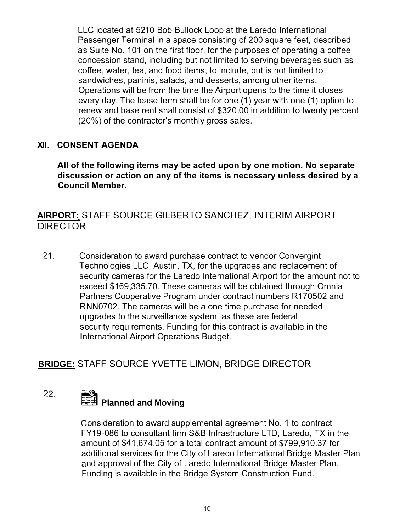**LLC located at 5210 Bob Bullock Loop at the Laredo International Passenger Terminal in a space consisting of 200 square feet, described as Suite No. 101 on the first floor, for the purposes of operating a coffee concession stand, including but not limited to serving beverages such as coffee, water, tea, and food items, to include, but is not limited to sandwiches, paninis, salads, and desserts, among other items. Operations will be from the time the Airport opens to the time it closes every day. The lease term shall be for one (1) year with one (1) option to renew and base rent shall consist of \$320.00 in addition to twenty percent (20%) of the contractor's monthly gross sales.** 

### **XII. CONSENT AGENDA**

**All of the following items m***a***y be** *a***cte***d* **upon by one motion***.* **No sep***a***r***a***te**  *d***iscussion or** *a***ction on** *a***ny of the items is necess***a***ry unless** *d***esire***d* **by** *a*  **Council Member.** 

### **AIRPORT: STAFF SOURCE GILBERTO SANCHEZ, INTERIM AIRPORT DIRECTOR**

21. Consideration to award purchase contract to vendor Convergint Technologies LLC, Austin, TX, for the upgrades and replacement of security cameras for the Laredo International Airport for the amount not to exceed \$169,335.70. These cameras will be obtained through Omnia Partners Cooperative Program under contract numbers R170502 and RNN0702. The cameras will be a one time purchase for needed upgrades to the surveillance system, as these are federal security requirements. Funding for this contract is available in the **lnternational Airport Operations Budget.** 

### **BRIDGE: STAFF SOURCE YVETTE LIMON, BRIDGE DIRECTOR**

## **<sup>2</sup>***2***. � Pl***a***nne***d a***n***d* **Moving**

Consideration to award supplemental agreement No. 1 to contract FY19-086 to consultant firm S&B Infrastructure LTD. Laredo. TX in the amount of \$41,674.05 for a total contract amount of \$799.910.37 for additional services for the City of Laredo International Bridge Master Plan and approval of the City of Laredo International Bridge Master Plan. Funding is available in the Bridge System Construction Fund.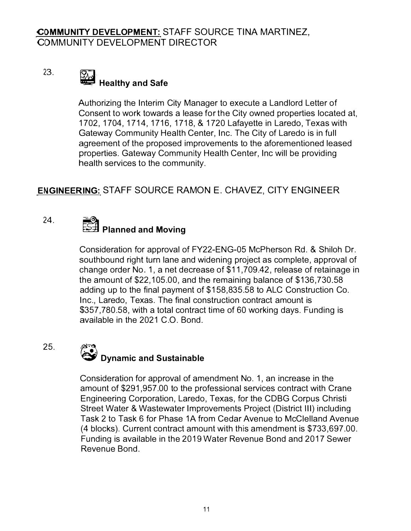### 23. **lij and Safe Healthy and Safe**

Authorizing the Interim City Manager to execute a Landlord Letter of Consent to work towards a lease for the City owned properties located at, 1702, 1704, 1714, 1716, 1718, & 1720 Lafayette in Laredo, Texas with Gateway Community Health Center, Inc. The City of Laredo is in full agreement of the proposed improvements to the aforementioned leased properties. Gateway Community Health Center, Inc will be providing health services to the community.

### **ENGINEERING: STAFF SOURCE RAMON E. CHAVEZ, CITY ENGINEER**

### 24.

25.

### **� Planned and Moving**

Consideration for approval of FY22-ENG-05 McPherson Rd. & Shiloh Dr. southbound right turn lane and widening project as complete, approval of change order No. 1, a net decrease of \$11,709.42, release of retainage in the amount of \$22,105.00, and the remaining balance of \$136,730.58 adding up to the final payment of \$158,835.58 to ALC Construction Co. Inc., Laredo, Texas. The final construction contract amount is \$357,780.58, with a total contract time of 60 working days. Funding is available in the 2021 C.O. Bond.

#### $\left(\frac{\partial}{\partial x^i}\right)^n$ **� Dynamic and Sustainable**

Consideration for approval of amendment No. 1, an increase in the amount of \$291,957.00 to the professional services contract with Crane Engineering Corporation, Laredo, Texas, for the CDBG Corpus Christi Street Water & Wastewater Improvements Project (District 111) including Task 2 to Task 6 for Phase 1A from Cedar Avenue to McClelland Avenue (4 blocks). Current contract amount with this amendment is \$733,697.00. Funding is available in the 2019 Water Revenue Bond and 2017 Sewer Revenue Bond.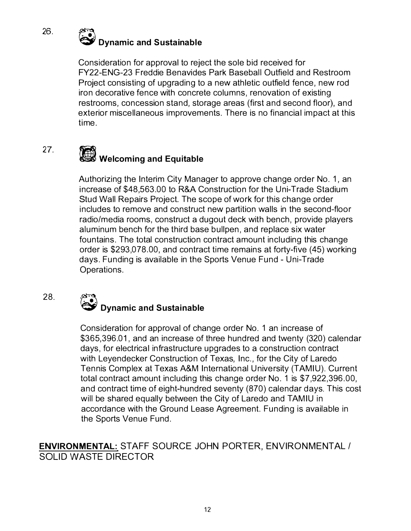

Consideration for approval to reject the sole bid received for FY22-ENG-23 Freddie Benavides Park Baseball Outfield and Restroom Project consisting of upgrading to a new athletic outfield fence, new rod iron decorative fence with concrete columns, renovation of existing restrooms, concession stand, storage areas (first and second floor), and exterior miscellaneous improvements. There is no financial impact at this time .

### 27. **• Welcoming and Equitable**

Authorizing the Interim City Manager to approve change order No. 1, an increase of \$48,563.00 to R&A Construction for the Uni-Trade Stadium Stud Wall Repairs Project. The scope of work for this change order includes to remove and construct new partition walls in the second-floor radio/media rooms, construct a dugout deck with bench, provide players aluminum bench for the third base bullpen, and replace six water fountains. The total construction contract amount including this change order is \$293,078.00, and contract time remains at forty-five (45) working days. Funding is available in the Sports Venue Fund - Uni-Trade Operations.

# @ **Dynamic and Sustainable**

Consideration for approval of change order No. 1 an increase of \$365,396.01, and an increase of three hundred and twenty (320) calendar days, for electrical infrastructure upgrades to a construction contract with Leyendecker Construction of Texas, Inc. , for the City of Laredo Tennis Complex at Texas A&M International University (TAMIU). Current total contract amount including this change order No. 1 is \$7,922,396.00, and contract time of eight-hundred seventy (870) calendar days. This cost will be shared equally between the City of Laredo and TAMIU in accordance with the Ground Lease Agreement. Funding is available in the Sports Venue Fund.

**ENVIRONMENTAL:** STAFF SOURCE JOHN PORTER, ENVIRONMENTAL / SOLID WASTE DIRECTOR

26.

28.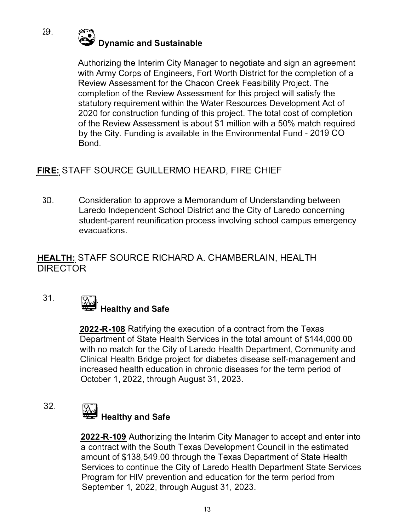

**Authorizing the Interim City Manager to negotiate and sign an agreement with Army Corps of Engineers, Fort Worth District for the completion of a Review Assessment for the Chacon Creek Feasibility Project. The completion of the Review Assessment for this project will satisfy the statutory requirement within the Water Resources Development Act of 2020 for construction funding of this project. The total cost of completion of the Review Assessment is about \$1 million with a 50% match required by the City. Funding is available in the Environmental Fund - 2019 CO Bond.** 

### **FIRE: STAFF SOURCE GUILLERMO HEARD, FIRE CHIEF**

**30. Consideration to approve a Memorandum of Understanding between Laredo Independent School District and the City of Laredo concerning student-parent reunification process involving school campus emergency evacuations.** 

### HEALTH: STAFF SOURCE RICHARD A. CHAMBERLAIN, HEALTH DIRECTOR

**3 1.** 

### **lij** *Healthy and Safe*

**2022-R-108 Ratifying the execution of a contract from the Texas Department of State Health Services in the total amount of \$144,000.00 with no match for the City of Laredo Health Department, Community and Clinical Health Bridge project for diabetes disease self-management and increased health education in chronic diseases for the term period of October 1, 2022, through August 31, 2023.** 

**32.** 

### **lij Healthy and Safe**

**2022-R-109 Authorizing the Interim City Manager to accept and enter into a contract with the South Texas Development Council in the estimated amount of \$138,549.00 through the Texas Department of State Health Services to continue the City of Laredo Health Department State Services Program for HIV prevention and education for the term period from September 1, 2022, through August 31, 2023.**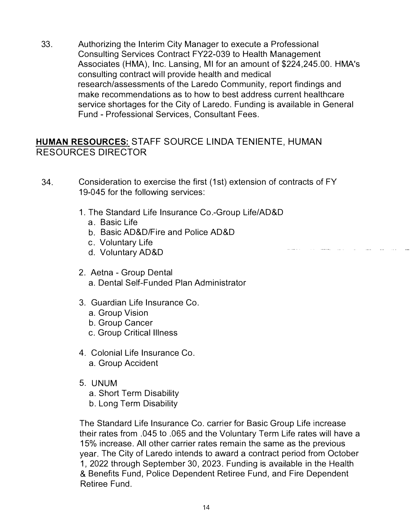33. Authorizing the Interim City Manager to execute a Professional Consulting Services Contract FY22-039 to Health Management Associates (HMA), Inc. Lansing, Ml for an amount of \$224,245.00. HMA's consulting contract will provide health and medical research/assessments of the Laredo Community, report findings and make recommendations as to how to best address current healthcare service shortages for the City of Laredo. Funding is available in General Fund - Professional Services, Consultant Fees.

### **HUMAN RESOURCES: STAFF SOURCE LINDA TENIENTE, HUMAN** RESOURCES DIRECTOR

- 34. Consideration to exercise the first (1st) extension of contracts of FY 19-045 for the following services:
	- 1. The Standard Life Insurance Co.-Group Life/AD&D
		- a. Basic Life
		- b. Basic AD&D/Fire and Police AD&D
		- c. Voluntary Life
		- d. Voluntary AD&D
	- 2. Aetna Group Dental a. Dental Self-Funded Plan Administrator
	- 3. Guardian Life Insurance Co.
		- a. Group Vision
		- b. Group Cancer
		- c. Group Critical Illness
	- 4. Colonial Life Insurance Co. a. Group Accident
	- 5. UNUM
		- a. Short Term Disability
		- b. Long Term Disability

The Standard Life Insurance Co. carrier for Basic Group Life increase their rates from .045 to .065 and the Voluntary Term Life rates will have a 15% increase. All other carrier rates remain the same as the previous year. The City of Laredo intends to award a contract period from October 1, 2022 through September 30, 2023. Funding is available in the Health & Benefits Fund, Police Dependent Retiree Fund, and Fire Dependent Retiree Fund.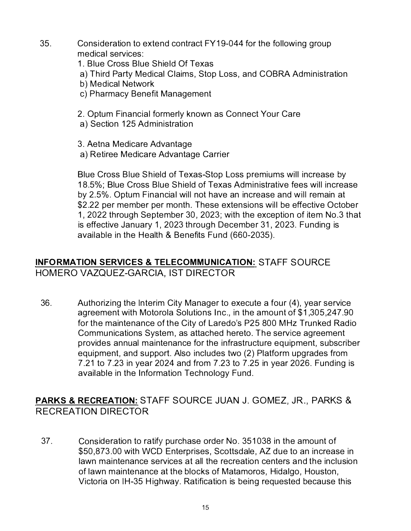- 35. Consideration to extend contract FY19-044 for the following group medical services:
	- 1. Blue Cross Blue Shield Of Texas
	- a) Third Party Medical Claims, Stop Loss, and COBRA Administration
	- b) Medical Network
	- c) Pharmacy Benefit Management
	- 2. Optum Financial formerly known as Connect Your Care
	- a) Section 125 Administration
	- 3. Aetna Medicare Advantage
	- a) Retiree Medicare Advantage Carrier

Blue Cross Blue Shield of Texas-Stop Loss premiums will increase by 18.5%; Blue Cross Blue Shield of Texas Administrative fees will increase by 2.5%. Optum Financial will not have an increase and will remain at \$2.22 per member per month. These extensions will be effective October 1, 2022 through September 30, 2023; with the exception of item No.3 that is effective January 1, 2023 through December 31, 2023. Funding is available in the Health & Benefits Fund (660-2035).

### **INFORMATION SERVICES & TELECOMMUNICATION: STAFF SOURCE** HOMERO VAZQUEZ-GARCIA, IST DIRECTOR

36. Authorizing the Interim City Manager to execute a four (4), year service agreement with Motorola Solutions Inc., in the amount of \$1,305,247.90 for the maintenance of the City of Laredo's P25 800 MHz Trunked Radio Communications System, as attached hereto. The service agreement provides annual maintenance for the infrastructure equipment, subscriber equipment, and support. Also includes two (2) Platform upgrades from 7.21 to 7.23 in year 2024 and from 7.23 to 7.25 in year 2026. Funding is available in the Information Technology Fund.

### PARKS & RECREATION: STAFF SOURCE JUAN J. GOMEZ, JR., PARKS & RECREATION DIRECTOR

37. Consideration to ratify purchase order No. 351038 in the amount of \$50,873.00 with WCD Enterprises, Scottsdale, AZ due to an increase in lawn maintenance services at all the recreation centers and the inclusion of lawn maintenance at the blocks of Matamoros, Hidalgo, Houston, Victoria on IH-35 Highway. Ratification is being requested because this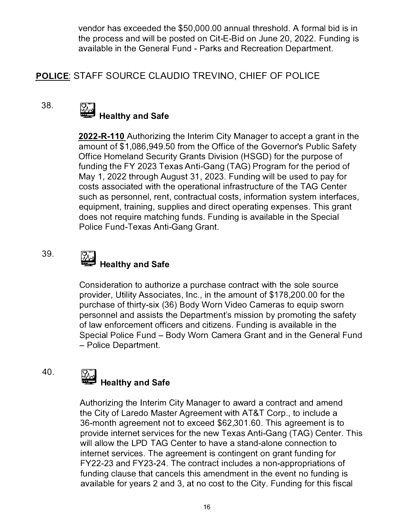vendor has exceeded the \$50,000.00 annual threshold. A formal bid is in the process and will be posted on Cit-E-Bid on June 20, 2022. Funding is available in the General Fund - Parks and Recreation Department.

### POLICE: STAFF SOURCE CLAUDIO TREVINO, CHIEF OF POLICE

### 38.

## **W Healthy and Safe**

**2022-R-110** Authorizing the Interim City Manager to accept a grant in the amount of \$1,086,949.50 from the Office of the Governor's Public Safety Office Homeland Security Grants Division (HSGD) for the purpose of funding the FY 2023 Texas Anti-Gang (TAG) Program for the period of May 1, 2022 through August 31, 2023. Funding will be used to pay for costs associated with the operational infrastructure of the TAG Center such as personnel, rent, contractual costs, information system interfaces, equipment, training, supplies and direct operating expenses. This grant does not require matching funds. Funding is available in the Special Police Fund-Texas Anti-Gang Grant.

### 39.

### **li\_4 Healthy and Safe**

Consideration to authorize a purchase contract with the sole source provider, Utility Associates, Inc., in the amount of \$178,200.00 for the purchase of thirty-six (36) Body Worn Video Cameras to equip sworn personnel and assists the Department's mission by promoting the safety of law enforcement officers and citizens. Funding is available in the Special Police Fund – Body Worn Camera Grant and in the General Fund - Police Department.

#### 40.

### **Healthy and Safe**

Authorizing the Interim City Manager to award a contract and amend the City of Laredo Master Agreement with AT&T Corp., to include a 36-month agreement not to exceed \$62,301.60. This agreement is to provide internet services for the new Texas Anti-Gang (TAG) Center. This will allow the LPD TAG Center to have a stand-alone connection to internet services. The agreement is contingent on grant funding for FY22-23 and FY23-24. The contract includes a non-appropriations of funding clause that cancels this amendment in the event no funding is available for years 2 and 3, at no cost to the City. Funding for this fiscal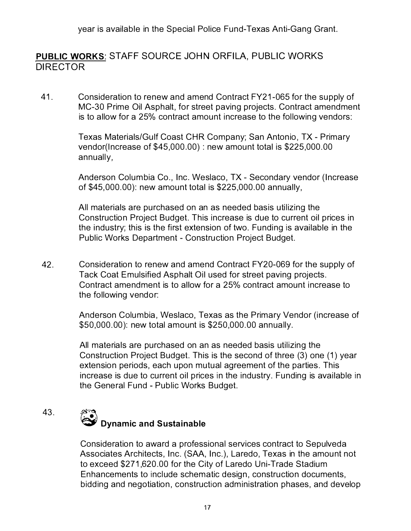year is available in the Special Police Fund-Texas Anti-Gang Grant.

### **PUBLIC WORKS: STAFF SOURCE JOHN ORFILA, PUBLIC WORKS DIRECTOR**

41. Consideration to renew and amend Contract FY21-065 for the supply of MC-30 Prime Oil Asphalt, for street paving projects. Contract amendment is to allow for a 25% contract amount increase to the following vendors:

> Texas Materials/Gulf Coast CHR Company; San Antonio, TX - Primary vendor(lncrease of \$45,000.00) : new amount total is \$225,000.00 annually,

Anderson Columbia Co., Inc. Weslaco, TX - Secondary vendor (Increase of \$45,000.00): new amount total is \$225,000.00 annually,

All materials are purchased on an as needed basis utilizing the Construction Project Budget. This increase is due to current oil prices in the industry; this is the first extension of two. Funding is available in the Public Works Department - Construction Project Budget.

42. Consideration to renew and amend Contract FY20-069 for the supply of Tack Coat Emulsified Asphalt Oil used for street paving projects. Contract amendment is to allow for a 25% contract amount increase to the following vendor:

> Anderson Columbia, Weslaco, Texas as the Primary Vendor (increase of \$50,000.00): new total amount is \$250,000.00 annually.

> All materials are purchased on an as needed basis utilizing the Construction Project Budget. This is the second of three (3) one (1) year extension periods, each upon mutual agreement of the parties. This increase is due to current oil prices in the industry. Funding is available in the General Fund - Public Works Budget.

### 43. @ **Dynamic and Sustainable**

Consideration to award a professional services contract to Sepulveda Associates Architects, Inc. (SAA, Inc.), Laredo, Texas in the amount not to exceed \$271,620.00 for the City of Laredo Uni-Trade Stadium Enhancements to include schematic design, construction documents, bidding and negotiation, construction administration phases, and develop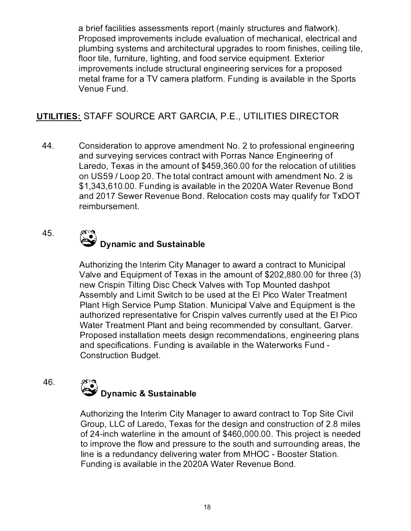a brief facilities assessments report (mainly structures and flatwork). Proposed improvements include evaluation of mechanical, electrical and plumbing systems and architectural upgrades to room finishes, ceiling tile, floor tile, furniture, lighting, and food service equipment. Exterior improvements include structural engineering services for a proposed metal frame for a TV camera platform. Funding is available in the Sports Venue Fund.

### **UTILITIES: STAFF SOURCE ART GARCIA, P.E. , UTILITIES DIRECTOR**

44. Consideration to approve amendment No. 2 to professional engineering and surveying services contract with Porras Nance Engineering of Laredo, Texas in the amount of \$459,360.00 for the relocation of utilities on US59 / Loop 20. The total contract amount with amendment No. 2 is \$1,343,610.00. Funding is available in the 2020A Water Revenue Bond and 2017 Sewer Revenue Bond. Relocation costs may qualify for TxDOT reimbursement.

### 45. **@ Dynamic and Sustainable**

Authorizing the Interim City Manager to award a contract to Municipal Valve and Equipment of Texas in the amount of \$202,880.00 for three (3) new Crispin Tilting Disc Check Valves with Top Mounted dashpot Assembly and Limit Switch to be used at the El Pico Water Treatment Plant High Service Pump Station. Municipal Valve and Equipment is the authorized representative for Crispin valves currently used at the El Pico Water Treatment Plant and being recommended by consultant, Garver. Proposed installation meets design recommendations, engineering plans and specifications. Funding is available in the Waterworks Fund - Construction Budget.

### 46.

# **@ Dynamic & Sustainable**

Authorizing the Interim City Manager to award contract to Top Site Civil Group, LLC of Laredo, Texas for the design and construction of 2.8 miles of 24-inch waterline in the amount of \$460,000.00. This project is needed to improve the flow and pressure to the south and surrounding areas, the line is a redundancy delivering water from MHOC - Booster Station. Funding is available in the 2020A Water Revenue Bond.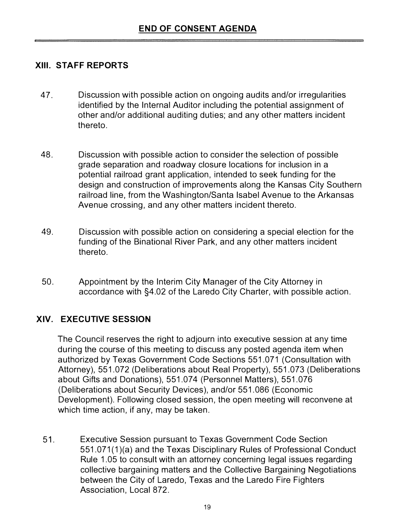### **XIII. STAFF REPORTS**

- **47. Discussion with possible action on ongoing audits and/or irregularities identified by the Internal Auditor including the potential assignment of other and/or additional auditing duties; and any other matters incident thereto.**
- **48. Discussion with possible action to consider the selection of possible grade separation and roadway closure locations for inclusion in a potential railroad grant application, intended to seek funding for the design and construction of improvements along the Kansas City Southern railroad line, from the Washington/Santa Isabel Avenue to the Arkansas Avenue crossing, and any other matters incident thereto.**
- **49. Discussion with possible action on considering a special election for the funding of the Binational River Park, and any other matters incident thereto.**
- **50. Appointment by the Interim City Manager of the City Attorney in accordance with §4.02 of the Laredo City Charter, with possible action.**

### **XIV. EXECUTIVE SESSION**

**The Council reserves the right to adjourn into executive session at any time during the course of this meeting to discuss any posted agenda item when authorized by Texas Government Code Sections 551 .071 (Consultation with Attorney), 551 .072 (Deliberations about Real Property), 551 .073 (Deliberations about Gifts and Donations), 551 .074 (Personnel Matters), 551 .076 (Deliberations about Security Devices), and/or 551 .086 (Economic Development). Following closed session, the open meeting will reconvene at which time action, if any, may be taken.** 

**51. Executive Session pursuant to Texas Government Code Section 551 .071 (1 )(a) and the Texas Disciplinary Rules of Professional Conduct Rule 1 .05 to consult with an attorney concerning legal issues regarding collective bargaining matters and the Collective Bargaining Negotiations between the City of Laredo, Texas and the Laredo Fire Fighters Association, Local 872.**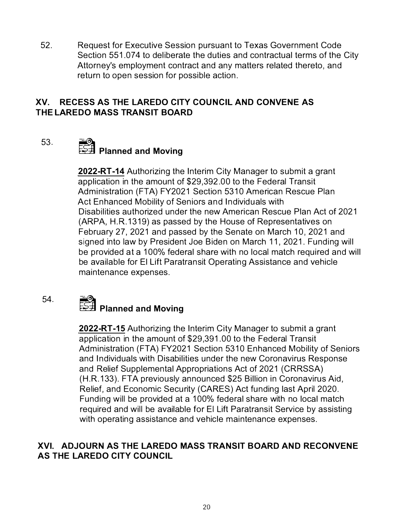52. Request for Executive Session pursuant to Texas Government Code Section 551.074 to deliberate the duties and contractual terms of the City Attorney's employment contract and any matters related thereto, and return to open session for possible action.

### **XV. RECESS AS THE LAREDO CITY COUNCIL AND CONVENE AS THE LAREDO MASS TRANSIT BOARD**

53.

### **� Planned and Moving**

**2022-RT-14** Authorizing the Interim City Manager to submit a grant application in the amount of \$29,392.00 to the Federal Transit Administration (FTA) FY2021 Section 5310 American Rescue Plan Act Enhanced Mobility of Seniors and Individuals with Disabilities authorized under the new American Rescue Plan Act of 2021 (ARPA, H.R.1319) as passed by the House of Representatives on February 27, 2021 and passed by the Senate on March 10, 2021 and signed into law by President Joe Biden on March 11, 2021. Funding will be provided at a 100% federal share with no local match required and will be available for El Lift Paratransit Operating Assistance and vehicle maintenance expenses.

54.

## **� Planned and Moving**

**2022-RT-15** Authorizing the Interim City Manager to submit a grant application in the amount of \$29,391.00 to the Federal Transit Administration (FTA) FY2021 Section 5310 Enhanced Mobility of Seniors and Individuals with Disabilities under the new Coronavirus Response and Relief Supplemental Appropriations Act of 2021 (CRRSSA) (H.R.133). FTA previously announced \$25 Billion in Coronavirus Aid, Relief, and Economic Security (CARES) Act funding last April 2020. Funding will be provided at a 100% federal share with no local match required and will be available for El Lift Paratransit Service by assisting with operating assistance and vehicle maintenance expenses.

### **XVI. ADJOURN AS THE LAREDO MASS TRANSIT BOARD AND RECONVENE AS THE LAREDO CITY COUNCIL**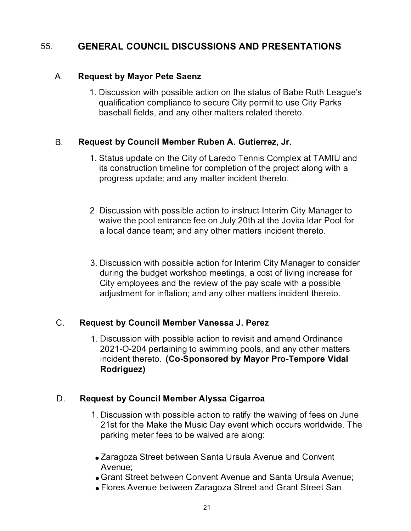#### 55. **GENERAL COUNCIL DISCUSSIONS AND PRESENTATIONS**

#### A. **Request by Mayor Pete Saenz**

1. Discussion with possible action on the status of Babe Ruth League's qualification compliance to secure City permit to use City Parks baseball fields, and any other matters related thereto.

### B. **Request by Council Member Ruben A. Gutierrez, Jr.**

- 1. Status update on the City of Laredo Tennis Complex at TAMIU and its construction timeline for completion of the project along with a progress update; and any matter incident thereto.
- 2. Discussion with possible action to instruct Interim City Manager to waive the pool entrance fee on July 20th at the Jovita ldar Pool for a local dance team; and any other matters incident thereto.
- 3. Discussion with possible action for Interim City Manager to consider during the budget workshop meetings, a cost of living increase for City employees and the review of the pay scale with a possible adjustment for inflation; and any other matters incident thereto.

### C. **Request by Council Member Vanessa J. Perez**

1 . Discussion with possible action to revisit and amend Ordinance 2021-0-204 pertaining to swimming pools, and any other matters incident thereto. **(Co-Sponsored by Mayor Pro-Tempore Vidal Rodriguez)** 

### **D. Request by Council Member Alyssa Cigarroa**

- 1. Discussion with possible action to ratify the waiving of fees on June 21st for the Make the Music Day event which occurs worldwide. The parking meter fees to be waived are along:
- Zaragoza Street between Santa Ursula Avenue and Convent Avenue;
- Grant Street between Convent Avenue and Santa Ursula Avenue;
- Flores Avenue between Zaragoza Street and Grant Street San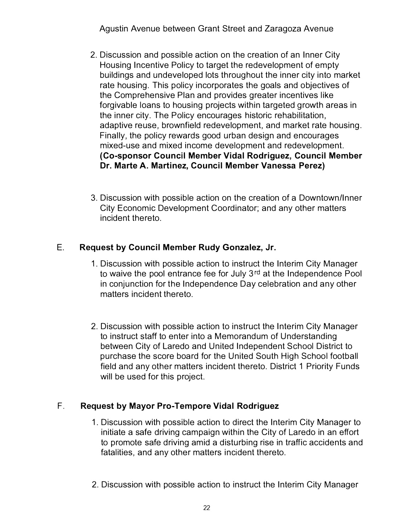- 2. Discussion and possible action on the creation of an Inner City Housing Incentive Policy to target the redevelopment of empty buildings and undeveloped lots throughout the inner city into market rate housing. This policy incorporates the goals and objectives of the Comprehensive Plan and provides greater incentives like forgivable loans to housing projects within targeted growth areas in the inner city. The Policy encourages historic rehabilitation, adaptive reuse, brownfield redevelopment, and market rate housing. Finally, the policy rewards good urban design and encourages mixed-use and mixed income development and redevelopment. **(Co-sponsor Council Member Vidal Rodriguez, Council Member Dr. Marte A. Martinez, Council Member Vanessa Perez)**
- 3. Discussion with possible action on the creation of a Downtown/Inner City Economic Development Coordinator; and any other matters incident thereto.

### E. **Request by Council Member Rudy Gonzalez, Jr.**

- 1. Discussion with possible action to instruct the Interim City Manager to waive the pool entrance fee for July 3<sup>rd</sup> at the Independence Pool in conjunction for the Independence Day celebration and any other matters incident thereto.
- 2. Discussion with possible action to instruct the Interim City Manager to instruct staff to enter into a Memorandum of Understanding between City of Laredo and United Independent School District to purchase the score board for the United South High School football field and any other matters incident thereto. District 1 Priority Funds will be used for this project.

### **F. Request by Mayor Pro-Tempore Vidal Rodriguez**

- 1. Discussion with possible action to direct the Interim City Manager to initiate a safe driving campaign within the City of Laredo in an effort to promote safe driving amid a disturbing rise in traffic accidents and fatalities, and any other matters incident thereto.
- 2. Discussion with possible action to instruct the Interim City Manager